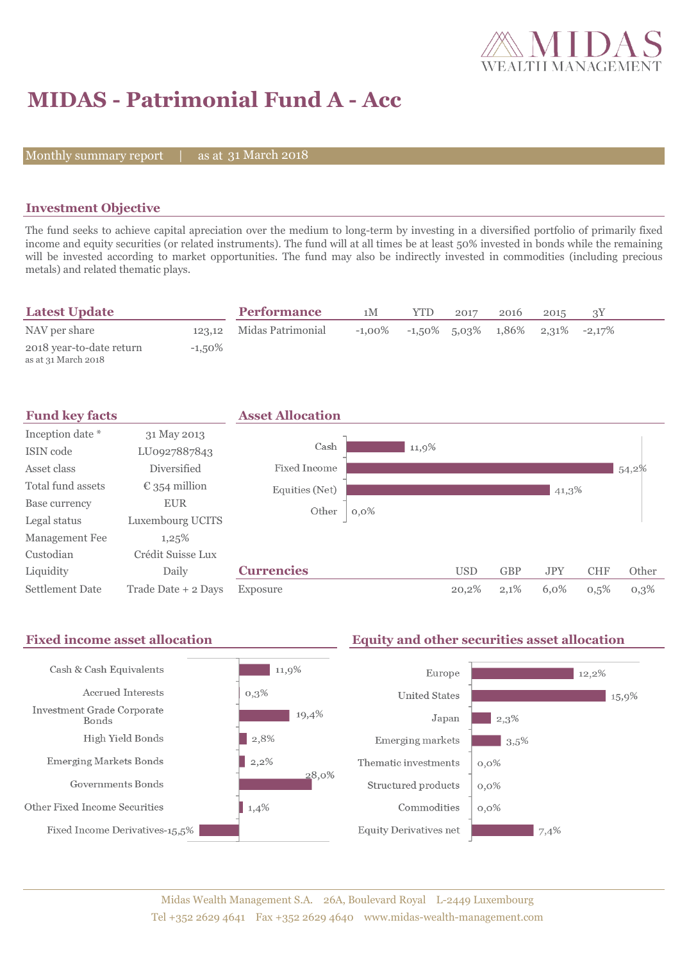

# **MIDAS - Patrimonial Fund A - Acc**

Monthly summary report

31 March 2018

## **Investment Objective**

The fund seeks to achieve capital apreciation over the medium to long-term by investing in a diversified portfolio of primarily fixed income and equity securities (or related instruments). The fund will at all times be at least 50% invested in bonds while the remaining will be invested according to market opportunities. The fund may also be indirectly invested in commodities (including precious metals) and related thematic plays.

| <b>Latest Update</b>                            |           | <b>Performance</b>       | 1M        | YTD. | 2017 | 2016                  | 2015 |                 |  |
|-------------------------------------------------|-----------|--------------------------|-----------|------|------|-----------------------|------|-----------------|--|
| NAV per share                                   |           | 123,12 Midas Patrimonial | $-1.00\%$ |      |      | $-1,50\%$ 5,03% 1,86% |      | $2,31\%$ -2,17% |  |
| 2018 year-to-date return<br>as at 31 March 2018 | $-1.50\%$ |                          |           |      |      |                       |      |                 |  |



#### **Fixed income asset allocation Equity and other securities asset allocation** Cash & Cash Equivalents  $11,9%$ Europe 12.2% Accrued Interests  $0,3\%$ **United States** 15,9% **Investment Grade Corporate** 19,4%  $2.3%$ Japan **Bonds** High Yield Bonds  $\vert$  2,8% Emerging markets  $3,5%$  $2,2\%$ **Emerging Markets Bonds** Thematic investments  $0.0\%$ 28.0% Governments Bonds Structured products  $0.0\%$ Other Fixed Income Securities 1,4% Commodities  $0.0\%$ Fixed Income Derivatives-15,5% **Equity Derivatives net**  $7,4%$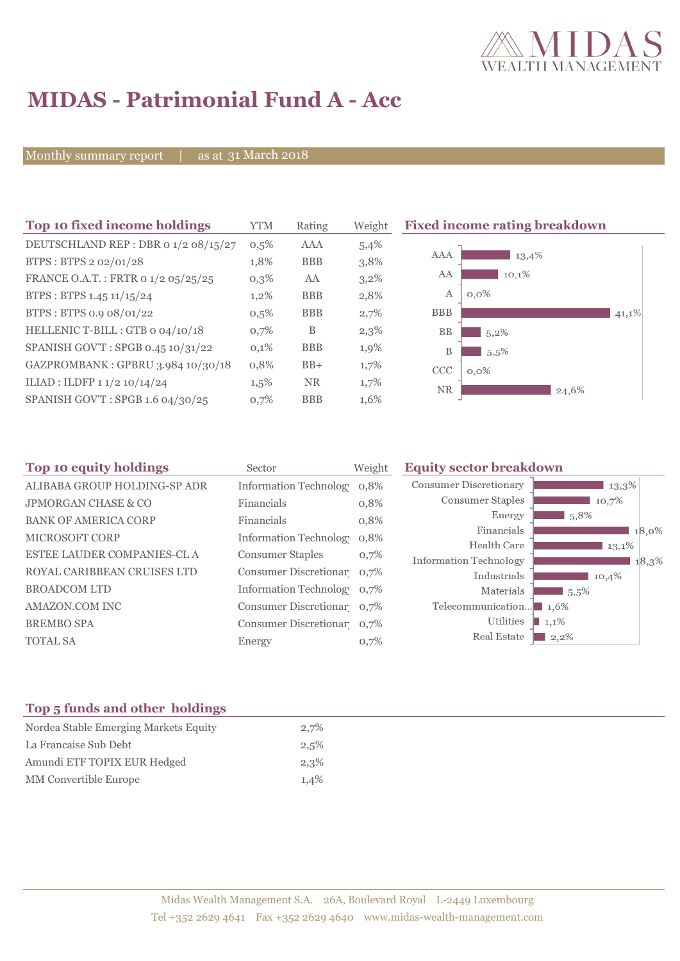

# **MIDAS - Patrimonial Fund A - Acc**

Monthly summary report | as at 31 March 2018

| Top 10 fixed income holdings         | YTM     | Rating     | Weight  | <b>Fixed income rating breakdown</b> |
|--------------------------------------|---------|------------|---------|--------------------------------------|
| DEUTSCHLAND REP : DBR 0 1/2 08/15/27 | 0,5%    | <b>AAA</b> | 5,4%    |                                      |
| BTPS: BTPS 2 02/01/28                | 1,8%    | <b>BBB</b> | 3,8%    | AAA<br>13,4%                         |
| FRANCE O.A.T.: FRTR 0 1/2 05/25/25   | 0,3%    | AA         | $3,2\%$ | AA<br>10,1%                          |
| BTPS : BTPS 1.45 $11/15/24$          | $1,2\%$ | <b>BBB</b> | 2,8%    | A<br>$0,0\%$                         |
| BTPS: BTPS 0.9 08/01/22              | 0,5%    | <b>BBB</b> | 2,7%    | <b>BBB</b><br>41,1%                  |
| HELLENIC T-BILL : GTB 0 04/10/18     | 0,7%    | B          | 2,3%    | BB<br>$5,2\%$                        |
| SPANISH GOV'T: SPGB 0.45 10/31/22    | 0,1%    | <b>BBB</b> | 1,9%    | B<br>5.5%                            |
| GAZPROMBANK: GPBRU 3.984 10/30/18    | 0,8%    | $BB+$      | 1,7%    | <b>CCC</b><br>$0,0\%$                |
| ILIAD : ILDFP 1 1/2 10/14/24         | $1,5\%$ | <b>NR</b>  | 1,7%    | <b>NR</b><br>24,6%                   |
| SPANISH GOV'T: SPGB 1.6 04/30/25     | 0,7%    | <b>BBB</b> | 1,6%    |                                      |

| Top 10 equity holdings         | Sector                        | Weight | <b>Equity sector breakdown</b>        |                     |
|--------------------------------|-------------------------------|--------|---------------------------------------|---------------------|
| ALIBABA GROUP HOLDING-SP ADR   | <b>Information Technology</b> | 0,8%   | <b>Consumer Discretionary</b>         | $13,3\%$            |
| <b>JPMORGAN CHASE &amp; CO</b> | Financials                    | 0,8%   | Consumer Staples                      | 10,7%               |
| <b>BANK OF AMERICA CORP</b>    | Financials                    | 0,8%   | Energy                                | $\blacksquare$ 5.8% |
| <b>MICROSOFT CORP</b>          | Information Technology        | 0,8%   | Financials                            | 18,0%               |
|                                |                               |        | Health Care                           | 13,1%               |
| ESTEE LAUDER COMPANIES-CL A    | <b>Consumer Staples</b>       | 0,7%   | <b>Information Technology</b>         | 18,3%               |
| ROYAL CARIBBEAN CRUISES LTD    | Consumer Discretionar 0,7%    |        | Industrials                           | 10,4%               |
| <b>BROADCOM LTD</b>            | Information Technolog 0,7%    |        | Materials                             | $15,5\%$            |
| AMAZON.COM INC                 | Consumer Discretionar 0,7%    |        | Telecommunication $\blacksquare$ 1.6% |                     |
| <b>BREMBO SPA</b>              | Consumer Discretionar 0,7%    |        | Utilities                             | $1,1\%$             |
| <b>TOTAL SA</b>                | Energy                        | 0,7%   | Real Estate                           | $2,2\%$             |
|                                |                               |        |                                       |                     |

## **Top 5 funds and other holdings**

| Nordea Stable Emerging Markets Equity | 2,7% |
|---------------------------------------|------|
| La Francaise Sub Debt                 | 2,5% |
| Amundi ETF TOPIX EUR Hedged           | 2,3% |
| MM Convertible Europe                 | 1,4% |